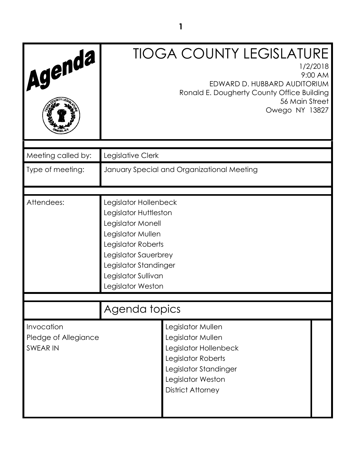| Agenda                                                |                                                                                                                                                                                                             | <b>TIOGA COUNTY LEGISLATURE</b><br>1/2/2018<br>9:00 AM<br>EDWARD D. HUBBARD AUDITORIUM<br>Ronald E. Dougherty County Office Building<br>56 Main Street<br>Owego NY 13827 |  |
|-------------------------------------------------------|-------------------------------------------------------------------------------------------------------------------------------------------------------------------------------------------------------------|--------------------------------------------------------------------------------------------------------------------------------------------------------------------------|--|
| Meeting called by:                                    | Legislative Clerk                                                                                                                                                                                           |                                                                                                                                                                          |  |
| Type of meeting:                                      |                                                                                                                                                                                                             | January Special and Organizational Meeting                                                                                                                               |  |
| Attendees:                                            | Legislator Hollenbeck<br>Legislator Huttleston<br>Legislator Monell<br>Legislator Mullen<br>Legislator Roberts<br>Legislator Sauerbrey<br>Legislator Standinger<br>Legislator Sullivan<br>Legislator Weston |                                                                                                                                                                          |  |
|                                                       | Agenda topics                                                                                                                                                                                               |                                                                                                                                                                          |  |
| Invocation<br>Pledge of Allegiance<br><b>SWEAR IN</b> |                                                                                                                                                                                                             | Legislator Mullen<br>Legislator Mullen<br>Legislator Hollenbeck<br>Legislator Roberts<br>Legislator Standinger<br>Legislator Weston<br><b>District Attorney</b>          |  |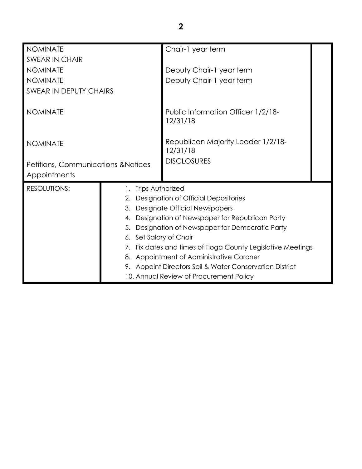| <b>NOMINATE</b>                     |                        | Chair-1 year term                                           |  |
|-------------------------------------|------------------------|-------------------------------------------------------------|--|
| SWEAR IN CHAIR                      |                        |                                                             |  |
| <b>NOMINATE</b>                     |                        | Deputy Chair-1 year term                                    |  |
| <b>NOMINATE</b>                     |                        | Deputy Chair-1 year term                                    |  |
| <b>SWEAR IN DEPUTY CHAIRS</b>       |                        |                                                             |  |
|                                     |                        |                                                             |  |
| <b>NOMINATE</b>                     |                        | Public Information Officer 1/2/18-                          |  |
|                                     |                        | 12/31/18                                                    |  |
|                                     |                        |                                                             |  |
| <b>NOMINATE</b>                     |                        | Republican Majority Leader 1/2/18-<br>12/31/18              |  |
|                                     |                        | <b>DISCLOSURES</b>                                          |  |
| Petitions, Communications & Notices |                        |                                                             |  |
| Appointments                        |                        |                                                             |  |
| <b>RESOLUTIONS:</b>                 | 1. Trips Authorized    |                                                             |  |
|                                     | 2.                     | Designation of Official Depositories                        |  |
|                                     |                        | 3. Designate Official Newspapers                            |  |
|                                     | 4.                     | Designation of Newspaper for Republican Party               |  |
|                                     | 5.                     | Designation of Newspaper for Democratic Party               |  |
|                                     | 6. Set Salary of Chair |                                                             |  |
|                                     |                        | 7. Fix dates and times of Tioga County Legislative Meetings |  |
|                                     |                        | 8. Appointment of Administrative Coroner                    |  |
|                                     |                        | 9. Appoint Directors Soil & Water Conservation District     |  |
|                                     |                        | 10. Annual Review of Procurement Policy                     |  |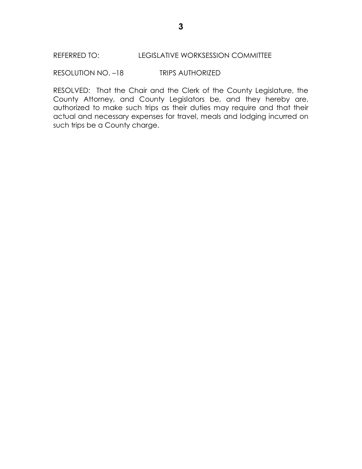RESOLUTION NO. –18 TRIPS AUTHORIZED

RESOLVED: That the Chair and the Clerk of the County Legislature, the County Attorney, and County Legislators be, and they hereby are, authorized to make such trips as their duties may require and that their actual and necessary expenses for travel, meals and lodging incurred on such trips be a County charge.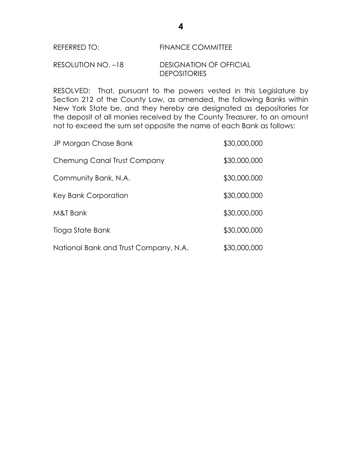#### REFERRED TO: FINANCE COMMITTEE

# RESOLUTION NO. –18 DESIGNATION OF OFFICIAL **DEPOSITORIES**

RESOLVED: That, pursuant to the powers vested in this Legislature by Section 212 of the County Law, as amended, the following Banks within New York State be, and they hereby are designated as depositories for the deposit of all monies received by the County Treasurer, to an amount not to exceed the sum set opposite the name of each Bank as follows:

| JP Morgan Chase Bank                  | \$30,000,000 |
|---------------------------------------|--------------|
| Chemung Canal Trust Company           | \$30,000,000 |
| Community Bank, N.A.                  | \$30,000,000 |
| Key Bank Corporation                  | \$30,000,000 |
| M&T Bank                              | \$30,000,000 |
| Tioga State Bank                      | \$30,000,000 |
| National Bank and Trust Company, N.A. | \$30,000,000 |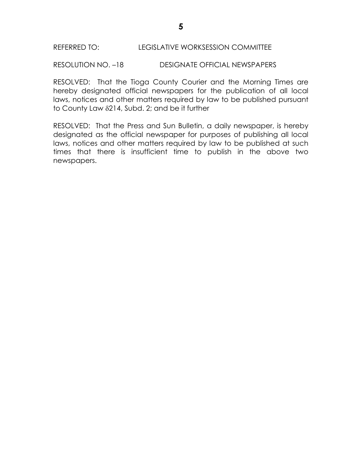RESOLUTION NO. –18 DESIGNATE OFFICIAL NEWSPAPERS

RESOLVED: That the Tioga County Courier and the Morning Times are hereby designated official newspapers for the publication of all local laws, notices and other matters required by law to be published pursuant to County Law  $\delta$ 214, Subd. 2; and be it further

RESOLVED: That the Press and Sun Bulletin, a daily newspaper, is hereby designated as the official newspaper for purposes of publishing all local laws, notices and other matters required by law to be published at such times that there is insufficient time to publish in the above two newspapers.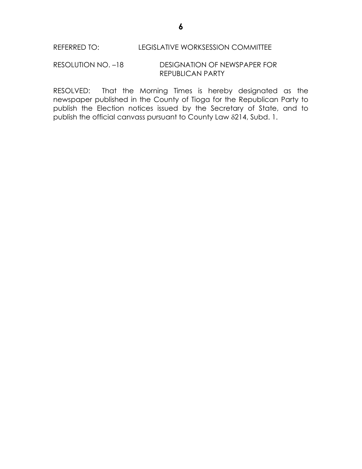### RESOLUTION NO. –18 DESIGNATION OF NEWSPAPER FOR REPUBLICAN PARTY

RESOLVED: That the Morning Times is hereby designated as the newspaper published in the County of Tioga for the Republican Party to publish the Election notices issued by the Secretary of State, and to publish the official canvass pursuant to County Law 214, Subd. 1.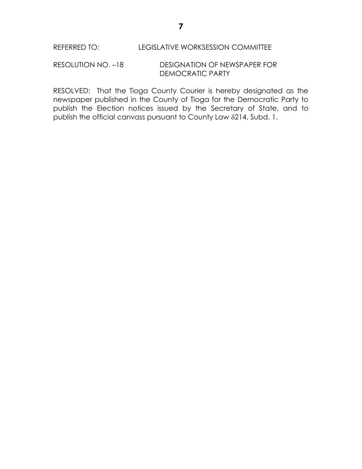## RESOLUTION NO. –18 DESIGNATION OF NEWSPAPER FOR DEMOCRATIC PARTY

RESOLVED: That the Tioga County Courier is hereby designated as the newspaper published in the County of Tioga for the Democratic Party to publish the Election notices issued by the Secretary of State, and to publish the official canvass pursuant to County Law 214, Subd. 1.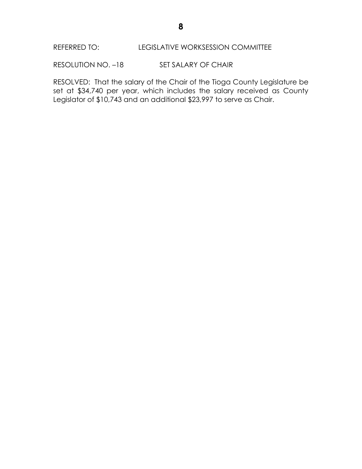# REFERRED TO: LEGISLATIVE WORKSESSION COMMITTEE

RESOLUTION NO. -18 SET SALARY OF CHAIR

RESOLVED: That the salary of the Chair of the Tioga County Legislature be set at \$34,740 per year, which includes the salary received as County Legislator of \$10,743 and an additional \$23,997 to serve as Chair.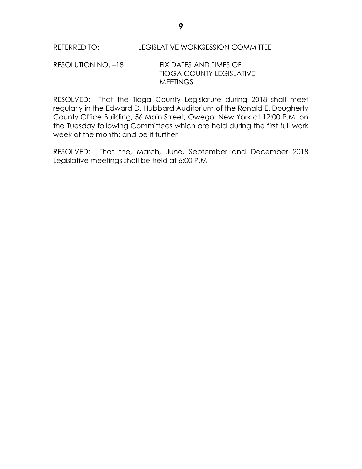## RESOLUTION NO. –18 FIX DATES AND TIMES OF TIOGA COUNTY LEGISLATIVE **MEETINGS**

RESOLVED: That the Tioga County Legislature during 2018 shall meet regularly in the Edward D. Hubbard Auditorium of the Ronald E. Dougherty County Office Building, 56 Main Street, Owego, New York at 12:00 P.M. on the Tuesday following Committees which are held during the first full work week of the month; and be it further

RESOLVED: That the, March, June, September and December 2018 Legislative meetings shall be held at 6:00 P.M.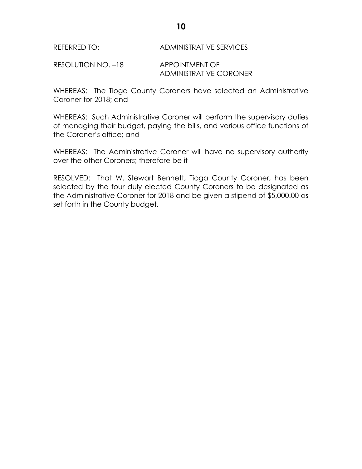REFERRED TO: ADMINISTRATIVE SERVICES

RESOLUTION NO. -18 APPOINTMENT OF ADMINISTRATIVE CORONER

WHEREAS: The Tioga County Coroners have selected an Administrative Coroner for 2018; and

WHEREAS: Such Administrative Coroner will perform the supervisory duties of managing their budget, paying the bills, and various office functions of the Coroner's office; and

WHEREAS: The Administrative Coroner will have no supervisory authority over the other Coroners; therefore be it

RESOLVED: That W. Stewart Bennett, Tioga County Coroner, has been selected by the four duly elected County Coroners to be designated as the Administrative Coroner for 2018 and be given a stipend of \$5,000.00 as set forth in the County budget.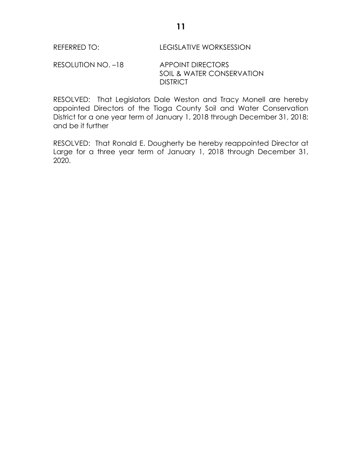# RESOLUTION NO. -18 APPOINT DIRECTORS SOIL & WATER CONSERVATION **DISTRICT**

RESOLVED: That Legislators Dale Weston and Tracy Monell are hereby appointed Directors of the Tioga County Soil and Water Conservation District for a one year term of January 1, 2018 through December 31, 2018; and be it further

RESOLVED: That Ronald E. Dougherty be hereby reappointed Director at Large for a three year term of January 1, 2018 through December 31, 2020.